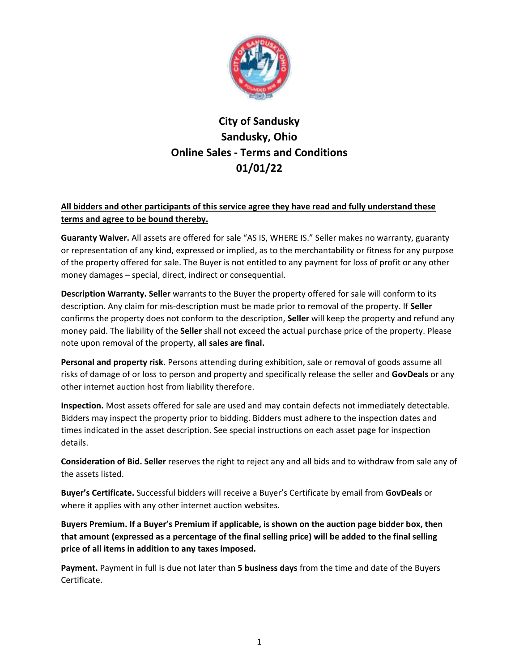

# **City of Sandusky Sandusky, Ohio Online Sales - Terms and Conditions 01/01/22**

### **All bidders and other participants of this service agree they have read and fully understand these terms and agree to be bound thereby.**

**Guaranty Waiver.** All assets are offered for sale "AS IS, WHERE IS." Seller makes no warranty, guaranty or representation of any kind, expressed or implied, as to the merchantability or fitness for any purpose of the property offered for sale. The Buyer is not entitled to any payment for loss of profit or any other money damages – special, direct, indirect or consequential.

**Description Warranty. Seller** warrants to the Buyer the property offered for sale will conform to its description. Any claim for mis-description must be made prior to removal of the property. If **Seller** confirms the property does not conform to the description, **Seller** will keep the property and refund any money paid. The liability of the **Seller** shall not exceed the actual purchase price of the property. Please note upon removal of the property, **all sales are final.**

**Personal and property risk.** Persons attending during exhibition, sale or removal of goods assume all risks of damage of or loss to person and property and specifically release the seller and **GovDeals** or any other internet auction host from liability therefore.

**Inspection.** Most assets offered for sale are used and may contain defects not immediately detectable. Bidders may inspect the property prior to bidding. Bidders must adhere to the inspection dates and times indicated in the asset description. See special instructions on each asset page for inspection details.

**Consideration of Bid. Seller** reserves the right to reject any and all bids and to withdraw from sale any of the assets listed.

**Buyer's Certificate.** Successful bidders will receive a Buyer's Certificate by email from **GovDeals** or where it applies with any other internet auction websites.

**Buyers Premium. If a Buyer's Premium if applicable, is shown on the auction page bidder box, then that amount (expressed as a percentage of the final selling price) will be added to the final selling price of all items in addition to any taxes imposed.** 

**Payment.** Payment in full is due not later than **5 business days** from the time and date of the Buyers Certificate.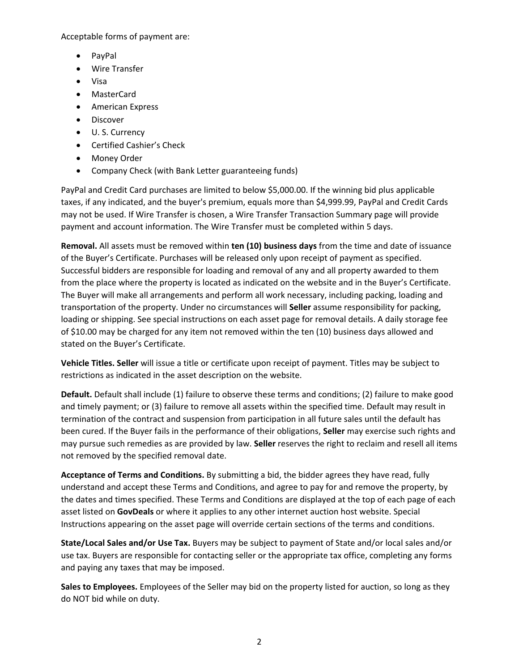Acceptable forms of payment are:

- PayPal
- Wire Transfer
- Visa
- MasterCard
- **•** American Express
- **•** Discover
- U. S. Currency
- Certified Cashier's Check
- Money Order
- Company Check (with Bank Letter guaranteeing funds)

PayPal and Credit Card purchases are limited to below \$5,000.00. If the winning bid plus applicable taxes, if any indicated, and the buyer's premium, equals more than \$4,999.99, PayPal and Credit Cards may not be used. If Wire Transfer is chosen, a Wire Transfer Transaction Summary page will provide payment and account information. The Wire Transfer must be completed within 5 days.

**Removal.** All assets must be removed within **ten (10) business days** from the time and date of issuance of the Buyer's Certificate. Purchases will be released only upon receipt of payment as specified. Successful bidders are responsible for loading and removal of any and all property awarded to them from the place where the property is located as indicated on the website and in the Buyer's Certificate. The Buyer will make all arrangements and perform all work necessary, including packing, loading and transportation of the property. Under no circumstances will **Seller** assume responsibility for packing, loading or shipping. See special instructions on each asset page for removal details. A daily storage fee of \$10.00 may be charged for any item not removed within the ten (10) business days allowed and stated on the Buyer's Certificate.

**Vehicle Titles. Seller** will issue a title or certificate upon receipt of payment. Titles may be subject to restrictions as indicated in the asset description on the website.

**Default.** Default shall include (1) failure to observe these terms and conditions; (2) failure to make good and timely payment; or (3) failure to remove all assets within the specified time. Default may result in termination of the contract and suspension from participation in all future sales until the default has been cured. If the Buyer fails in the performance of their obligations, **Seller** may exercise such rights and may pursue such remedies as are provided by law. **Seller** reserves the right to reclaim and resell all items not removed by the specified removal date.

**Acceptance of Terms and Conditions.** By submitting a bid, the bidder agrees they have read, fully understand and accept these Terms and Conditions, and agree to pay for and remove the property, by the dates and times specified. These Terms and Conditions are displayed at the top of each page of each asset listed on **GovDeals** or where it applies to any other internet auction host website. Special Instructions appearing on the asset page will override certain sections of the terms and conditions.

**State/Local Sales and/or Use Tax.** Buyers may be subject to payment of State and/or local sales and/or use tax. Buyers are responsible for contacting seller or the appropriate tax office, completing any forms and paying any taxes that may be imposed.

**Sales to Employees.** Employees of the Seller may bid on the property listed for auction, so long as they do NOT bid while on duty.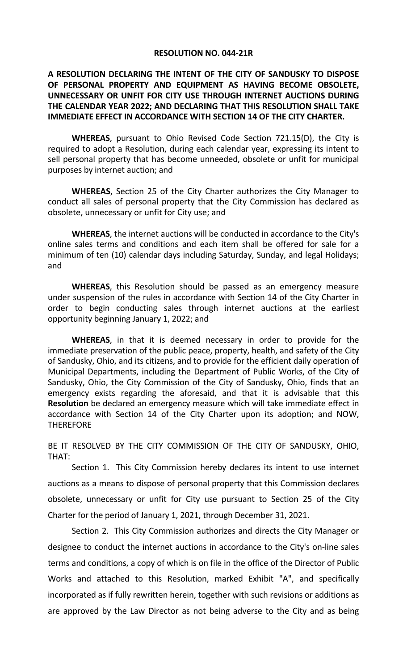#### **RESOLUTION NO. 044‐21R**

# **A RESOLUTION DECLARING THE INTENT OF THE CITY OF SANDUSKY TO DISPOSE OF PERSONAL PROPERTY AND EQUIPMENT AS HAVING BECOME OBSOLETE, UNNECESSARY OR UNFIT FOR CITY USE THROUGH INTERNET AUCTIONS DURING THE CALENDAR YEAR 2022; AND DECLARING THAT THIS RESOLUTION SHALL TAKE IMMEDIATE EFFECT IN ACCORDANCE WITH SECTION 14 OF THE CITY CHARTER.**

**WHEREAS**, pursuant to Ohio Revised Code Section 721.15(D), the City is required to adopt a Resolution, during each calendar year, expressing its intent to sell personal property that has become unneeded, obsolete or unfit for municipal purposes by internet auction; and

 **WHEREAS**, Section 25 of the City Charter authorizes the City Manager to conduct all sales of personal property that the City Commission has declared as obsolete, unnecessary or unfit for City use; and

 **WHEREAS**, the internet auctions will be conducted in accordance to the City's online sales terms and conditions and each item shall be offered for sale for a minimum of ten (10) calendar days including Saturday, Sunday, and legal Holidays; and

 **WHEREAS**, this Resolution should be passed as an emergency measure under suspension of the rules in accordance with Section 14 of the City Charter in order to begin conducting sales through internet auctions at the earliest opportunity beginning January 1, 2022; and

 **WHEREAS**, in that it is deemed necessary in order to provide for the immediate preservation of the public peace, property, health, and safety of the City of Sandusky, Ohio, and its citizens, and to provide for the efficient daily operation of Municipal Departments, including the Department of Public Works, of the City of Sandusky, Ohio, the City Commission of the City of Sandusky, Ohio, finds that an emergency exists regarding the aforesaid, and that it is advisable that this **Resolution** be declared an emergency measure which will take immediate effect in accordance with Section 14 of the City Charter upon its adoption; and NOW, **THEREFORE** 

BE IT RESOLVED BY THE CITY COMMISSION OF THE CITY OF SANDUSKY, OHIO, THAT:

Section 1. This City Commission hereby declares its intent to use internet auctions as a means to dispose of personal property that this Commission declares obsolete, unnecessary or unfit for City use pursuant to Section 25 of the City Charter for the period of January 1, 2021, through December 31, 2021.

 Section 2. This City Commission authorizes and directs the City Manager or designee to conduct the internet auctions in accordance to the City's on‐line sales terms and conditions, a copy of which is on file in the office of the Director of Public Works and attached to this Resolution, marked Exhibit "A", and specifically incorporated as if fully rewritten herein, together with such revisions or additions as are approved by the Law Director as not being adverse to the City and as being